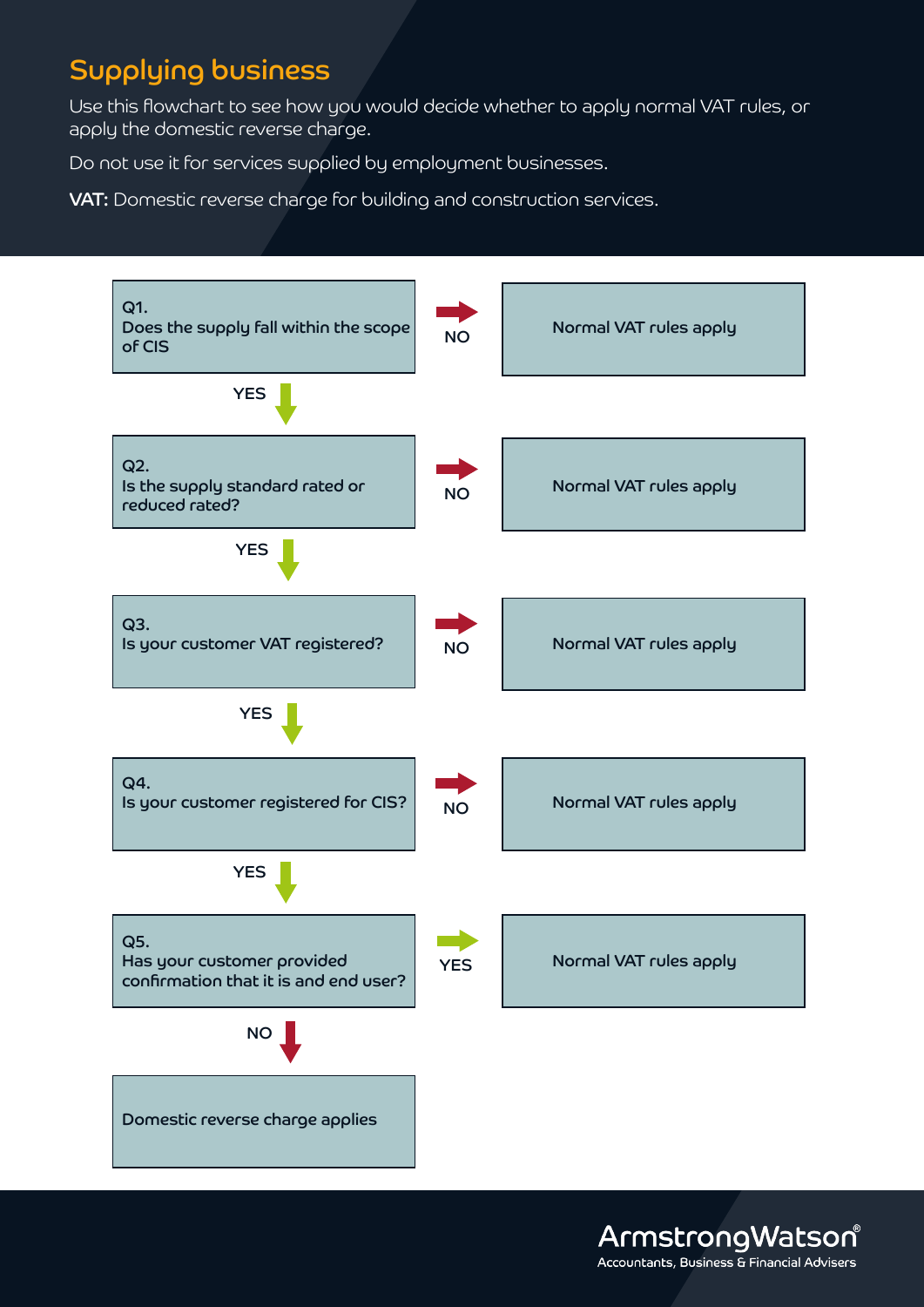## Supplying business

Use this flowchart to see how you would decide whether to apply normal VAT rules, or apply the domestic reverse charge.

Do not use it for services supplied by employment businesses.

VAT: Domestic reverse charge for building and construction services.



ArmstrongWatson® Accountants, Business & Financial Advisers